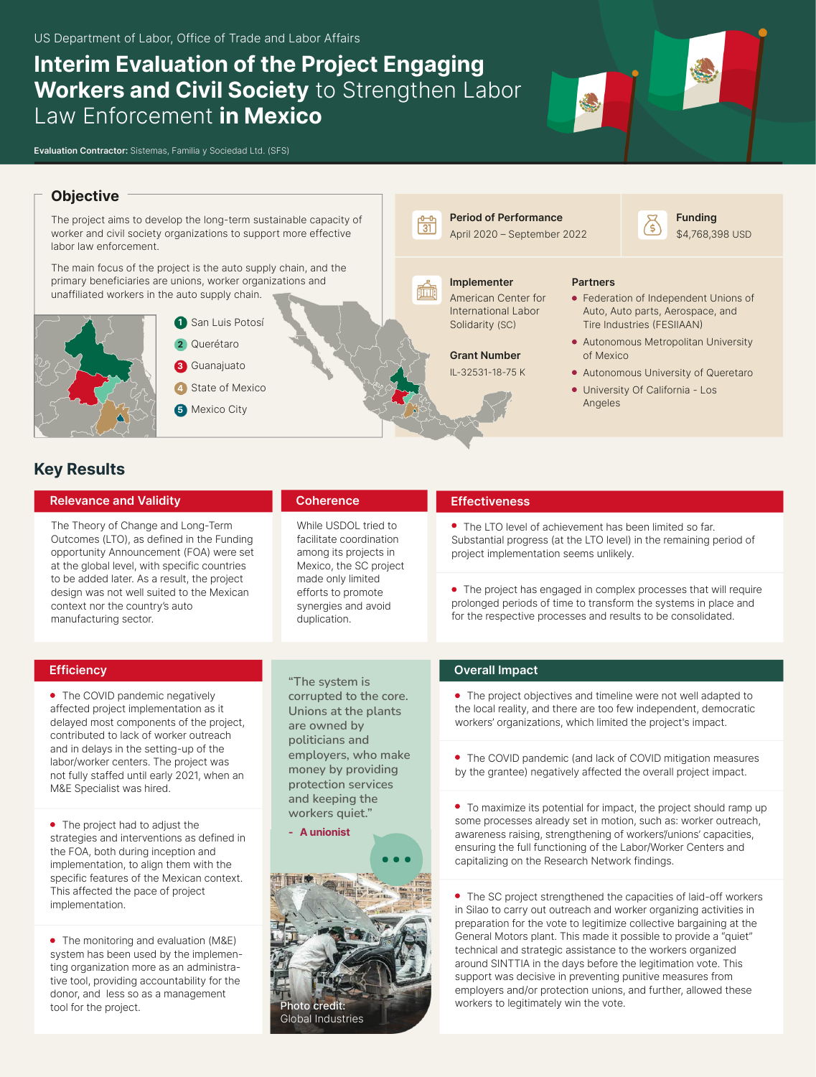# **Interim Evaluation of the Project Engaging Workers and Civil Society** to Strengthen Labor Law Enforcement **in Mexico**





## **Objective**

The project aims to develop the long-term sustainable capacity of worker and civil society organizations to support more effective labor law enforcement.

The main focus of the project is the auto supply chain, and the primary beneficiaries are unions, worker organizations and unaffiliated workers in the auto supply chain.



- **1** San Luis Potosí **2** Querétaro
- **3** Guanajuato
- **4** State of Mexico
- **5** Mexico City

# **Key Results**

#### **Relevance and Validity**

The Theory of Change and Long-Term Outcomes (LTO), as defined in the Funding opportunity Announcement (FOA) were set at the global level, with specific countries to be added later. As a result, the project design was not well suited to the Mexican context nor the country's auto manufacturing sector.

# **Coherence**

While USDOL tried to facilitate coordination among its projects in Mexico, the SC project made only limited efforts to promote synergies and avoid duplication.

# April 2020 – September 2022

**Period of Performance** 

**Implementer** 

儒

#### American Center for International Labor Solidarity (SC)

**Grant Number**  IL-32531-18-75 K

#### **Partners**

Federation of Independent Unions of Auto, Auto parts, Aerospace, and Tire Industries (FESIIAAN)

**Funding**  \$4,768,398 USD

- Autonomous Metropolitan University of Mexico
- Autonomous University of Queretaro
- University Of California Los Angeles

#### **Effectiveness**

The LTO level of achievement has been limited so far. Substantial progress (at the LTO level) in the remaining period of project implementation seems unlikely.

• The project has engaged in complex processes that will require prolonged periods of time to transform the systems in place and for the respective processes and results to be consolidated.

## **Efficiency**

• The COVID pandemic negatively affected project implementation as it delayed most components of the project, contributed to lack of worker outreach and in delays in the setting-up of the labor/worker centers. The project was not fully staffed until early 2021, when an M&E Specialist was hired.

• The project had to adjust the strategies and interventions as defined in the FOA, both during inception and implementation, to align them with the specific features of the Mexican context. This affected the pace of project implementation.

• The monitoring and evaluation (M&E) system has been used by the implementing organization more as an administrative tool, providing accountability for the donor, and less so as a management tool for the project.

**"The system is corrupted to the core. Unions at the plants are owned by politicians and employers, who make money by providing protection services and keeping the workers quiet."** 

**- A unionist**



## **Overall Impact**

The project objectives and timeline were not well adapted to the local reality, and there are too few independent, democratic workers' organizations, which limited the project's impact.

The COVID pandemic (and lack of COVID mitigation measures by the grantee) negatively affected the overall project impact.

To maximize its potential for impact, the project should ramp up some processes already set in motion, such as: worker outreach, awareness raising, strengthening of workers'/unions' capacities, ensuring the full functioning of the Labor/Worker Centers and capitalizing on the Research Network findings.

The SC project strengthened the capacities of laid-off workers in Silao to carry out outreach and worker organizing activities in preparation for the vote to legitimize collective bargaining at the General Motors plant. This made it possible to provide a "quiet" technical and strategic assistance to the workers organized around SINTTIA in the days before the legitimation vote. This support was decisive in preventing punitive measures from employers and/or protection unions, and further, allowed these workers to legitimately win the vote.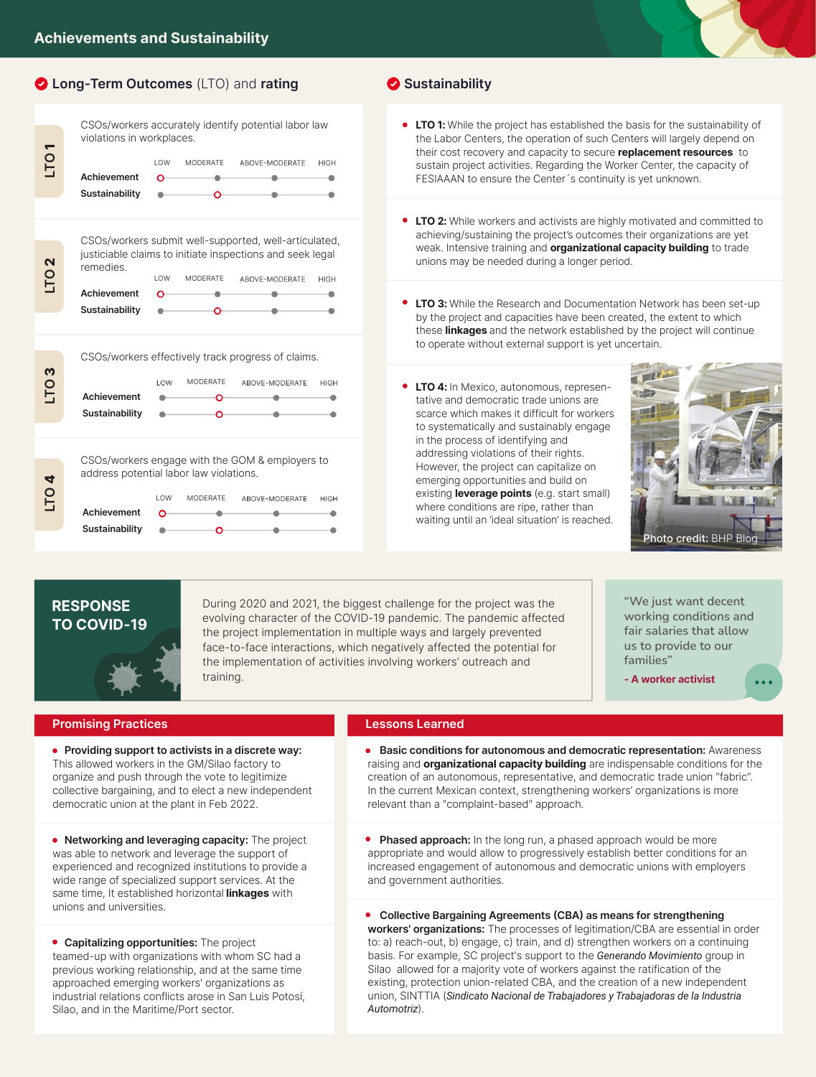**Long-Term Outcomes** (LTO) and **rating**

|                  | CSOs/workers accurately identify potential labor law<br>violations in workplaces. |          |                 |                                                                                                                                      |             |  |  |
|------------------|-----------------------------------------------------------------------------------|----------|-----------------|--------------------------------------------------------------------------------------------------------------------------------------|-------------|--|--|
| TO <sub>1</sub>  | Achievement<br>Sustainability                                                     | LOW<br>റ | <b>MODERATE</b> | ABOVE-MODERATE                                                                                                                       | <b>HIGH</b> |  |  |
|                  |                                                                                   |          |                 |                                                                                                                                      |             |  |  |
|                  |                                                                                   |          |                 |                                                                                                                                      |             |  |  |
| LTO <sub>2</sub> | remedies.<br><b>Achievement</b>                                                   | LOW<br>റ | <b>MODERATE</b> | CSOs/workers submit well-supported, well-articulated,<br>justiciable claims to initiate inspections and seek legal<br>ABOVE-MODERATE | <b>HIGH</b> |  |  |
|                  | Sustainability                                                                    |          |                 |                                                                                                                                      |             |  |  |
|                  |                                                                                   |          |                 |                                                                                                                                      |             |  |  |
| M                | CSOs/workers effectively track progress of claims.                                |          |                 |                                                                                                                                      |             |  |  |
| <b>PT</b>        |                                                                                   | LOW      | <b>MODERATE</b> | ABOVE-MODERATE                                                                                                                       | <b>HIGH</b> |  |  |
|                  | Achievement                                                                       |          |                 |                                                                                                                                      |             |  |  |
|                  | Sustainability                                                                    |          |                 |                                                                                                                                      |             |  |  |
|                  |                                                                                   |          |                 |                                                                                                                                      |             |  |  |

CSOs/workers engage with the GOM & employers to address potential labor law violations.

|                | $1$ $\cap$ W | MODERATE | ABOVE-MODERATE | <b>HIGH</b> |
|----------------|--------------|----------|----------------|-------------|
| Achievement    | ∩            |          |                |             |
| Sustainability |              |          |                |             |

## **Sustainability**

- **LTO 1:** While the project has established the basis for the sustainability of the Labor Centers, the operation of such Centers will largely depend on their cost recovery and capacity to secure **replacement resources** to sustain project activities. Regarding the Worker Center, the capacity of FESIAAAN to ensure the Center´s continuity is yet unknown.
- **LTO 2:** While workers and activists are highly motivated and committed to achieving/sustaining the project's outcomes their organizations are yet weak. Intensive training and **organizational capacity building** to trade unions may be needed during a longer period.
- **LTO 3:** While the Research and Documentation Network has been set-up by the project and capacities have been created, the extent to which these **linkages** and the network established by the project will continue to operate without external support is yet uncertain.
- **LTO 4:** In Mexico, autonomous, representative and democratic trade unions are scarce which makes it difficult for workers to systematically and sustainably engage in the process of identifying and addressing violations of their rights. However, the project can capitalize on emerging opportunities and build on existing **leverage points** (e.g. start small) where conditions are ripe, rather than waiting until an 'ideal situation' is reached.



# **RESPONSE TO COVID-19**

**LTO 4**

During 2020 and 2021, the biggest challenge for the project was the evolving character of the COVID-19 pandemic. The pandemic affected the project implementation in multiple ways and largely prevented face-to-face interactions, which negatively affected the potential for the implementation of activities involving workers' outreach and training.

**"We just want decent working conditions and fair salaries that allow us to provide to our families"**

**- A worker activist**

## **Promising Practices**

- **Providing support to activists in a discrete way:** This allowed workers in the GM/Silao factory to organize and push through the vote to legitimize collective bargaining, and to elect a new independent democratic union at the plant in Feb 2022.
- **Networking and leveraging capacity:** The project was able to network and leverage the support of experienced and recognized institutions to provide a wide range of specialized support services. At the same time, It established horizontal **linkages** with unions and universities.
- **Capitalizing opportunities:** The project teamed-up with organizations with whom SC had a previous working relationship, and at the same time approached emerging workers' organizations as industrial relations conflicts arose in San Luis Potosí, Silao, and in the Maritime/Port sector.

#### **Lessons Learned**

**Basic conditions for autonomous and democratic representation:** Awareness raising and **organizational capacity building** are indispensable conditions for the creation of an autonomous, representative, and democratic trade union "fabric". In the current Mexican context, strengthening workers' organizations is more relevant than a "complaint-based" approach.

**Phased approach:** In the long run, a phased approach would be more appropriate and would allow to progressively establish better conditions for an increased engagement of autonomous and democratic unions with employers and government authorities.

**Collective Bargaining Agreements (CBA) as means for strengthening workers' organizations:** The processes of legitimation/CBA are essential in order to: a) reach-out, b) engage, c) train, and d) strengthen workers on a continuing basis. For example, SC project's support to the *Generando Movimiento* group in Silao allowed for a majority vote of workers against the ratification of the existing, protection union-related CBA, and the creation of a new independent union, SINTTIA (*Sindicato Nacional de Trabajadores y Trabajadoras de la Industria Automotriz*).